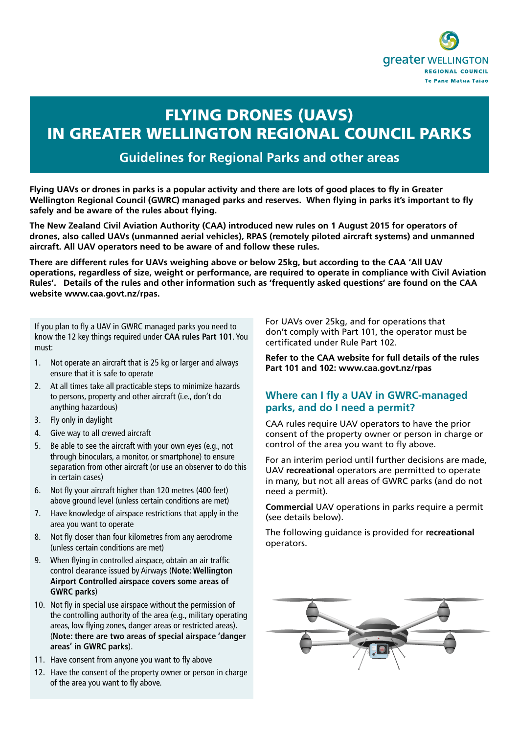

# FLYING DRONES (UAVS) IN GREATER WELLINGTON REGIONAL COUNCIL PARKS

## **Guidelines for Regional Parks and other areas**

**Flying UAVs or drones in parks is a popular activity and there are lots of good places to fly in Greater Wellington Regional Council (GWRC) managed parks and reserves. When flying in parks it's important to fly safely and be aware of the rules about flying.**

**The New Zealand Civil Aviation Authority (CAA) introduced new rules on 1 August 2015 for operators of drones, also called UAVs (unmanned aerial vehicles), RPAS (remotely piloted aircraft systems) and unmanned aircraft. All UAV operators need to be aware of and follow these rules.** 

**There are different rules for UAVs weighing above or below 25kg, but according to the CAA 'All UAV operations, regardless of size, weight or performance, are required to operate in compliance with Civil Aviation Rules'. Details of the rules and other information such as 'frequently asked questions' are found on the CAA website www.caa.govt.nz/rpas.** 

If you plan to fly a UAV in GWRC managed parks you need to know the 12 key things required under **CAA rules Part 101**. You must:

- 1. Not operate an aircraft that is 25 kg or larger and always ensure that it is safe to operate
- 2. At all times take all practicable steps to minimize hazards to persons, property and other aircraft (i.e., don't do anything hazardous)
- 3. Fly only in daylight
- 4. Give way to all crewed aircraft
- 5. Be able to see the aircraft with your own eyes (e.g., not through binoculars, a monitor, or smartphone) to ensure separation from other aircraft (or use an observer to do this in certain cases)
- 6. Not fly your aircraft higher than 120 metres (400 feet) above ground level (unless certain conditions are met)
- 7. Have knowledge of airspace restrictions that apply in the area you want to operate
- 8. Not fly closer than four kilometres from any aerodrome (unless certain conditions are met)
- 9. When flying in controlled airspace, obtain an air traffic control clearance issued by Airways (**Note: Wellington Airport Controlled airspace covers some areas of GWRC parks**)
- 10. Not fly in special use airspace without the permission of the controlling authority of the area (e.g., military operating areas, low flying zones, danger areas or restricted areas). (**Note: there are two areas of special airspace 'danger areas' in GWRC parks**).
- 11. Have consent from anyone you want to fly above
- 12. Have the consent of the property owner or person in charge of the area you want to fly above.

For UAVs over 25kg, and for operations that don't comply with Part 101, the operator must be certificated under Rule Part 102.

**Refer to the CAA website for full details of the rules Part 101 and 102: www.caa.govt.nz/rpas**

### **Where can I fly a UAV in GWRC-managed parks, and do I need a permit?**

CAA rules require UAV operators to have the prior consent of the property owner or person in charge or control of the area you want to fly above.

For an interim period until further decisions are made, UAV **recreational** operators are permitted to operate in many, but not all areas of GWRC parks (and do not need a permit).

**Commercial** UAV operations in parks require a permit (see details below).

The following guidance is provided for **recreational** operators.

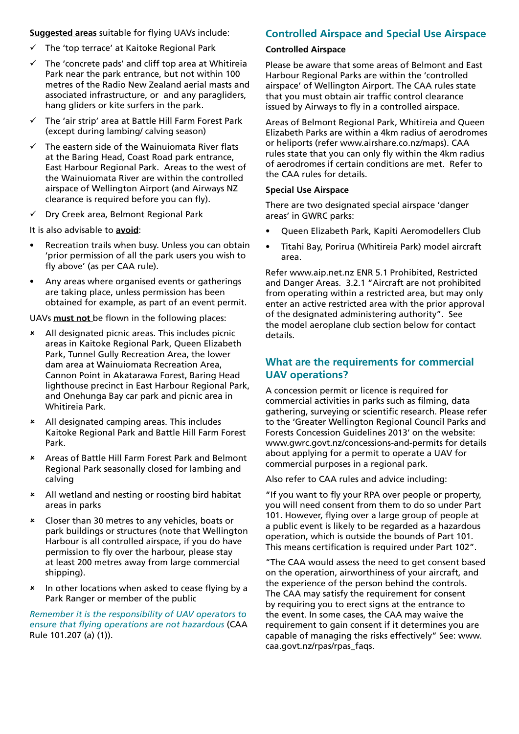**Suggested areas** suitable for flying UAVs include:

- $\checkmark$  The 'top terrace' at Kaitoke Regional Park
- The 'concrete pads' and cliff top area at Whitireia Park near the park entrance, but not within 100 metres of the Radio New Zealand aerial masts and associated infrastructure, or and any paragliders, hang gliders or kite surfers in the park.
- $\checkmark$  The 'air strip' area at Battle Hill Farm Forest Park (except during lambing/ calving season)
- The eastern side of the Wainuiomata River flats at the Baring Head, Coast Road park entrance, East Harbour Regional Park. Areas to the west of the Wainuiomata River are within the controlled airspace of Wellington Airport (and Airways NZ clearance is required before you can fly).
- $\checkmark$  Dry Creek area, Belmont Regional Park

It is also advisable to **avoid**:

- Recreation trails when busy. Unless you can obtain 'prior permission of all the park users you wish to fly above' (as per CAA rule).
- Any areas where organised events or gatherings are taking place, unless permission has been obtained for example, as part of an event permit.

UAVs **must not** be flown in the following places:

- 8 All designated picnic areas. This includes picnic areas in Kaitoke Regional Park, Queen Elizabeth Park, Tunnel Gully Recreation Area, the lower dam area at Wainuiomata Recreation Area, Cannon Point in Akatarawa Forest, Baring Head lighthouse precinct in East Harbour Regional Park, and Onehunga Bay car park and picnic area in Whitireia Park.
- 8 All designated camping areas. This includes Kaitoke Regional Park and Battle Hill Farm Forest Park.
- 8 Areas of Battle Hill Farm Forest Park and Belmont Regional Park seasonally closed for lambing and calving
- 8 All wetland and nesting or roosting bird habitat areas in parks
- 8 Closer than 30 metres to any vehicles, boats or park buildings or structures (note that Wellington Harbour is all controlled airspace, if you do have permission to fly over the harbour, please stay at least 200 metres away from large commercial shipping).
- 8 In other locations when asked to cease flying by a Park Ranger or member of the public

*Remember it is the responsibility of UAV operators to ensure that flying operations are not hazardous* (CAA Rule 101.207 (a) (1)).

## **Controlled Airspace and Special Use Airspace**

#### **Controlled Airspace**

Please be aware that some areas of Belmont and East Harbour Regional Parks are within the 'controlled airspace' of Wellington Airport. The CAA rules state that you must obtain air traffic control clearance issued by Airways to fly in a controlled airspace.

Areas of Belmont Regional Park, Whitireia and Queen Elizabeth Parks are within a 4km radius of aerodromes or heliports (refer www.airshare.co.nz/maps). CAA rules state that you can only fly within the 4km radius of aerodromes if certain conditions are met. Refer to the CAA rules for details.

#### **Special Use Airspace**

There are two designated special airspace 'danger areas' in GWRC parks:

- Queen Elizabeth Park, Kapiti Aeromodellers Club
- Titahi Bay, Porirua (Whitireia Park) model aircraft area.

Refer www.aip.net.nz ENR 5.1 Prohibited, Restricted and Danger Areas. 3.2.1 "Aircraft are not prohibited from operating within a restricted area, but may only enter an active restricted area with the prior approval of the designated administering authority". See the model aeroplane club section below for contact details.

## **What are the requirements for commercial UAV operations?**

A concession permit or licence is required for commercial activities in parks such as filming, data gathering, surveying or scientific research. Please refer to the 'Greater Wellington Regional Council Parks and Forests Concession Guidelines 2013' on the website: www.gwrc.govt.nz/concessions-and-permits for details about applying for a permit to operate a UAV for commercial purposes in a regional park.

Also refer to CAA rules and advice including:

"If you want to fly your RPA over people or property, you will need consent from them to do so under Part 101. However, flying over a large group of people at a public event is likely to be regarded as a hazardous operation, which is outside the bounds of Part 101. This means certification is required under Part 102".

"The CAA would assess the need to get consent based on the operation, airworthiness of your aircraft, and the experience of the person behind the controls. The CAA may satisfy the requirement for consent by requiring you to erect signs at the entrance to the event. In some cases, the CAA may waive the requirement to gain consent if it determines you are capable of managing the risks effectively" See: www. caa.govt.nz/rpas/rpas\_faqs.